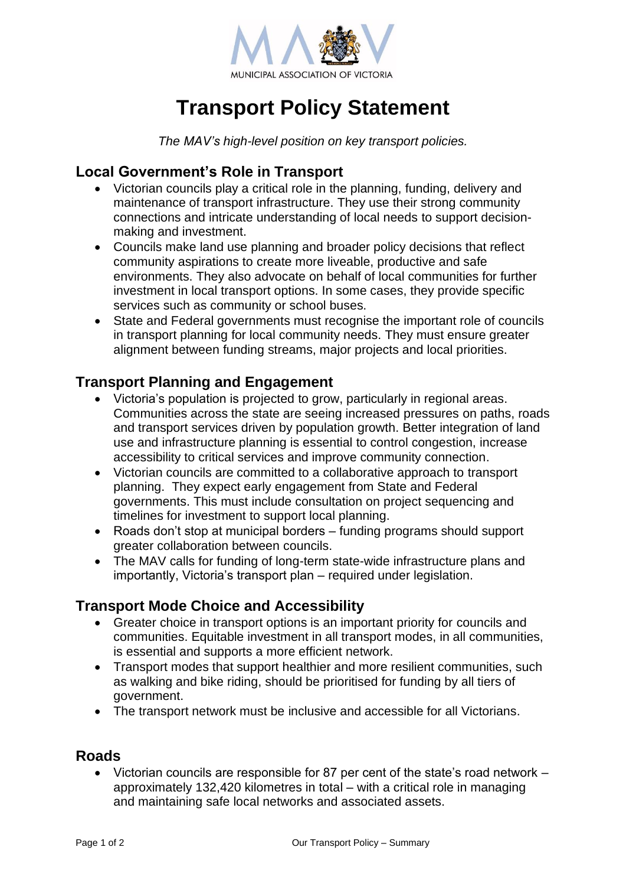

# **Transport Policy Statement**

*The MAV's high-level position on key transport policies.*

## **Local Government's Role in Transport**

- Victorian councils play a critical role in the planning, funding, delivery and maintenance of transport infrastructure. They use their strong community connections and intricate understanding of local needs to support decisionmaking and investment.
- Councils make land use planning and broader policy decisions that reflect community aspirations to create more liveable, productive and safe environments. They also advocate on behalf of local communities for further investment in local transport options. In some cases, they provide specific services such as community or school buses.
- State and Federal governments must recognise the important role of councils in transport planning for local community needs. They must ensure greater alignment between funding streams, major projects and local priorities.

# **Transport Planning and Engagement**

- Victoria's population is projected to grow, particularly in regional areas. Communities across the state are seeing increased pressures on paths, roads and transport services driven by population growth. Better integration of land use and infrastructure planning is essential to control congestion, increase accessibility to critical services and improve community connection.
- Victorian councils are committed to a collaborative approach to transport planning. They expect early engagement from State and Federal governments. This must include consultation on project sequencing and timelines for investment to support local planning.
- Roads don't stop at municipal borders funding programs should support greater collaboration between councils.
- The MAV calls for funding of long-term state-wide infrastructure plans and importantly, Victoria's transport plan – required under legislation.

# **Transport Mode Choice and Accessibility**

- Greater choice in transport options is an important priority for councils and communities. Equitable investment in all transport modes, in all communities, is essential and supports a more efficient network.
- Transport modes that support healthier and more resilient communities, such as walking and bike riding, should be prioritised for funding by all tiers of government.
- The transport network must be inclusive and accessible for all Victorians.

#### **Roads**

• Victorian councils are responsible for 87 per cent of the state's road network – approximately 132,420 kilometres in total – with a critical role in managing and maintaining safe local networks and associated assets.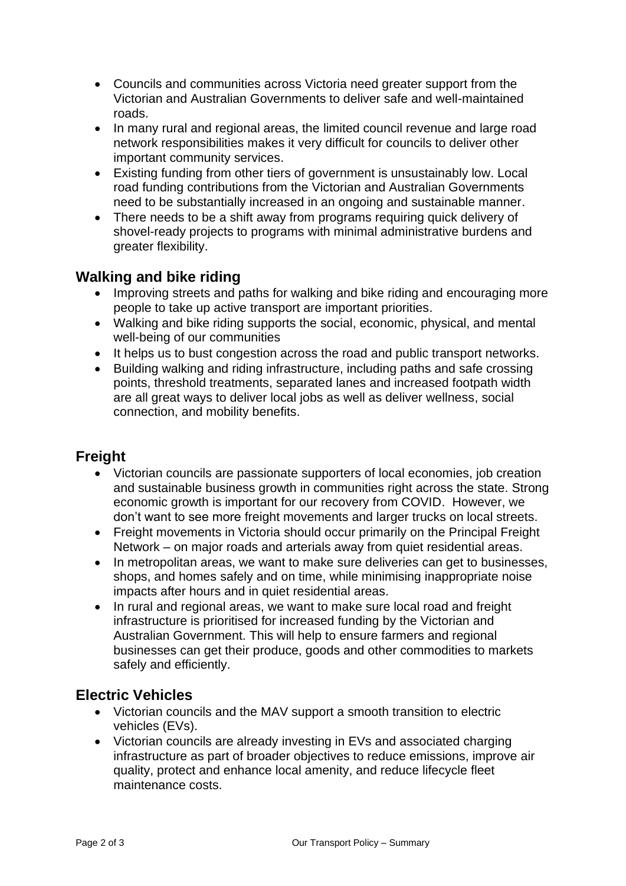- Councils and communities across Victoria need greater support from the Victorian and Australian Governments to deliver safe and well-maintained roads.
- In many rural and regional areas, the limited council revenue and large road network responsibilities makes it very difficult for councils to deliver other important community services.
- Existing funding from other tiers of government is unsustainably low. Local road funding contributions from the Victorian and Australian Governments need to be substantially increased in an ongoing and sustainable manner.
- There needs to be a shift away from programs requiring quick delivery of shovel-ready projects to programs with minimal administrative burdens and greater flexibility.

## **Walking and bike riding**

- Improving streets and paths for walking and bike riding and encouraging more people to take up active transport are important priorities.
- Walking and bike riding supports the social, economic, physical, and mental well-being of our communities
- It helps us to bust congestion across the road and public transport networks.
- Building walking and riding infrastructure, including paths and safe crossing points, threshold treatments, separated lanes and increased footpath width are all great ways to deliver local jobs as well as deliver wellness, social connection, and mobility benefits.

# **Freight**

- Victorian councils are passionate supporters of local economies, job creation and sustainable business growth in communities right across the state. Strong economic growth is important for our recovery from COVID. However, we don't want to see more freight movements and larger trucks on local streets.
- Freight movements in Victoria should occur primarily on the Principal Freight Network – on major roads and arterials away from quiet residential areas.
- In metropolitan areas, we want to make sure deliveries can get to businesses, shops, and homes safely and on time, while minimising inappropriate noise impacts after hours and in quiet residential areas.
- In rural and regional areas, we want to make sure local road and freight infrastructure is prioritised for increased funding by the Victorian and Australian Government. This will help to ensure farmers and regional businesses can get their produce, goods and other commodities to markets safely and efficiently.

## **Electric Vehicles**

- Victorian councils and the MAV support a smooth transition to electric vehicles (EVs).
- Victorian councils are already investing in EVs and associated charging infrastructure as part of broader objectives to reduce emissions, improve air quality, protect and enhance local amenity, and reduce lifecycle fleet maintenance costs.